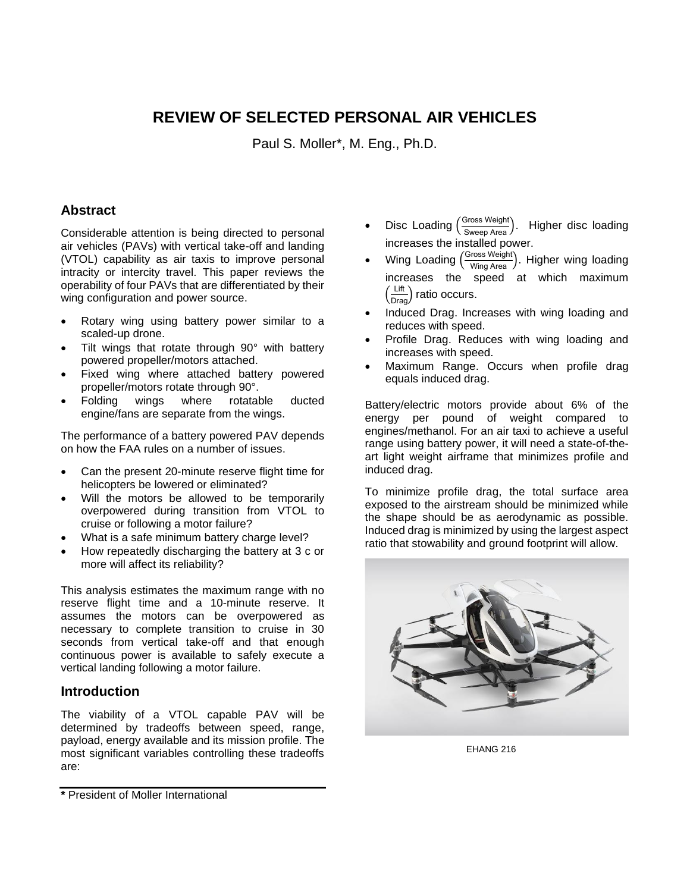# **REVIEW OF SELECTED PERSONAL AIR VEHICLES**

Paul S. Moller\*, M. Eng., Ph.D.

## **Abstract**

Considerable attention is being directed to personal air vehicles (PAVs) with vertical take-off and landing (VTOL) capability as air taxis to improve personal intracity or intercity travel. This paper reviews the operability of four PAVs that are differentiated by their wing configuration and power source.

- Rotary wing using battery power similar to a scaled-up drone.
- Tilt wings that rotate through 90° with battery powered propeller/motors attached.
- Fixed wing where attached battery powered propeller/motors rotate through 90°.
- Folding wings where rotatable ducted engine/fans are separate from the wings.

The performance of a battery powered PAV depends on how the FAA rules on a number of issues.

- Can the present 20-minute reserve flight time for helicopters be lowered or eliminated?
- Will the motors be allowed to be temporarily overpowered during transition from VTOL to cruise or following a motor failure?
- What is a safe minimum battery charge level?
- How repeatedly discharging the battery at 3 c or more will affect its reliability?

This analysis estimates the maximum range with no reserve flight time and a 10-minute reserve. It assumes the motors can be overpowered as necessary to complete transition to cruise in 30 seconds from vertical take-off and that enough continuous power is available to safely execute a vertical landing following a motor failure.

### **Introduction**

The viability of a VTOL capable PAV will be determined by tradeoffs between speed, range, payload, energy available and its mission profile. The most significant variables controlling these tradeoffs are:

- Disc Loading (*Sross Weight*). Higher disc loading increases the installed power.
- Wing Loading  $\frac{\text{Gross Weight}}{\text{Mins Area}}$ ). Higher wing loading increases the speed at which maximum  $\left(\frac{\text{Lift}}{\text{Drag}}\right)$  ratio occurs.
- Induced Drag. Increases with wing loading and reduces with speed.
- Profile Drag. Reduces with wing loading and increases with speed.
- Maximum Range. Occurs when profile drag equals induced drag.

Battery/electric motors provide about 6% of the energy per pound of weight compared to engines/methanol. For an air taxi to achieve a useful range using battery power, it will need a state-of-theart light weight airframe that minimizes profile and induced drag.

To minimize profile drag, the total surface area exposed to the airstream should be minimized while the shape should be as aerodynamic as possible. Induced drag is minimized by using the largest aspect ratio that stowability and ground footprint will allow.



EHANG 216

**<sup>\*</sup>** President of Moller International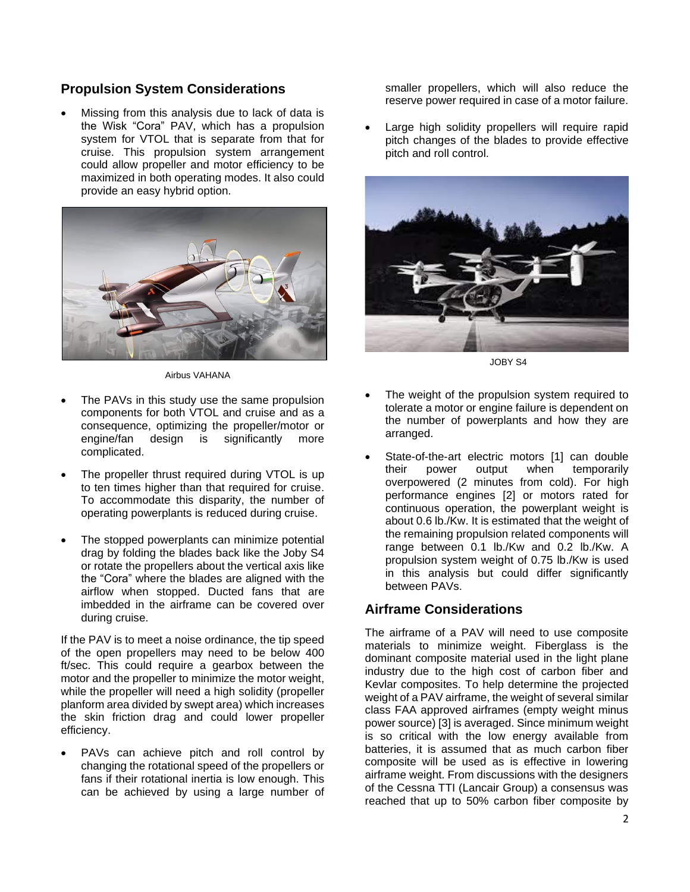## **Propulsion System Considerations**

Missing from this analysis due to lack of data is the Wisk "Cora" PAV, which has a propulsion system for VTOL that is separate from that for cruise. This propulsion system arrangement could allow propeller and motor efficiency to be maximized in both operating modes. It also could provide an easy hybrid option.



Airbus VAHANA

- The PAVs in this study use the same propulsion components for both VTOL and cruise and as a consequence, optimizing the propeller/motor or engine/fan design is significantly more complicated.
- The propeller thrust required during VTOL is up to ten times higher than that required for cruise. To accommodate this disparity, the number of operating powerplants is reduced during cruise.
- The stopped powerplants can minimize potential drag by folding the blades back like the Joby S4 or rotate the propellers about the vertical axis like the "Cora" where the blades are aligned with the airflow when stopped. Ducted fans that are imbedded in the airframe can be covered over during cruise.

If the PAV is to meet a noise ordinance, the tip speed of the open propellers may need to be below 400 ft/sec. This could require a gearbox between the motor and the propeller to minimize the motor weight, while the propeller will need a high solidity (propeller planform area divided by swept area) which increases the skin friction drag and could lower propeller efficiency.

PAVs can achieve pitch and roll control by changing the rotational speed of the propellers or fans if their rotational inertia is low enough. This can be achieved by using a large number of smaller propellers, which will also reduce the reserve power required in case of a motor failure.

Large high solidity propellers will require rapid pitch changes of the blades to provide effective pitch and roll control.



JOBY S4

- The weight of the propulsion system required to tolerate a motor or engine failure is dependent on the number of powerplants and how they are arranged.
- State-of-the-art electric motors [1] can double their power output when temporarily overpowered (2 minutes from cold). For high performance engines [2] or motors rated for continuous operation, the powerplant weight is about 0.6 lb./Kw. It is estimated that the weight of the remaining propulsion related components will range between 0.1 lb./Kw and 0.2 lb./Kw. A propulsion system weight of 0.75 lb./Kw is used in this analysis but could differ significantly between PAVs.

# **Airframe Considerations**

The airframe of a PAV will need to use composite materials to minimize weight. Fiberglass is the dominant composite material used in the light plane industry due to the high cost of carbon fiber and Kevlar composites. To help determine the projected weight of a PAV airframe, the weight of several similar class FAA approved airframes (empty weight minus power source) [3] is averaged. Since minimum weight is so critical with the low energy available from batteries, it is assumed that as much carbon fiber composite will be used as is effective in lowering airframe weight. From discussions with the designers of the Cessna TTI (Lancair Group) a consensus was reached that up to 50% carbon fiber composite by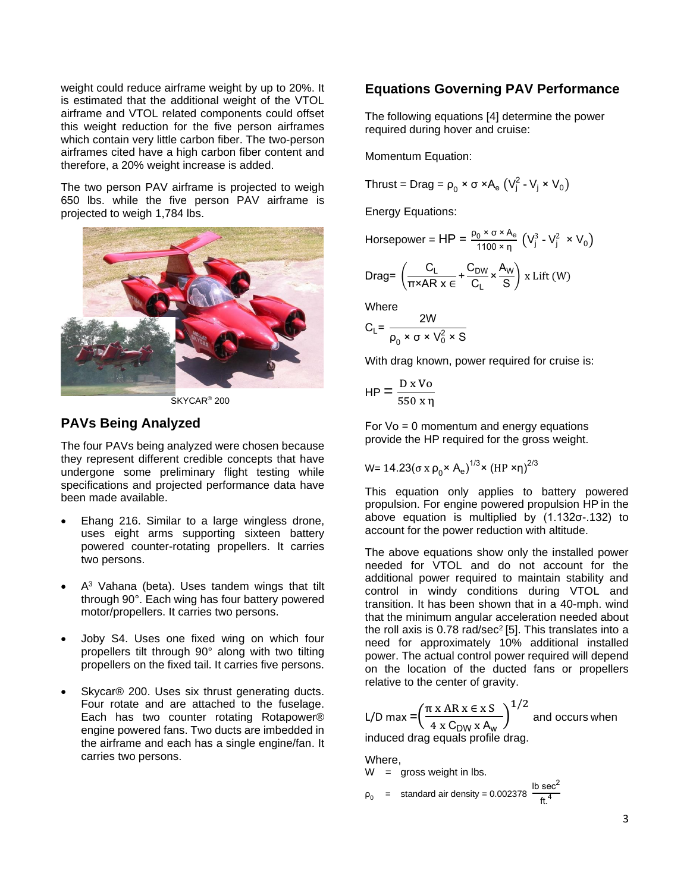weight could reduce airframe weight by up to 20%. It is estimated that the additional weight of the VTOL airframe and VTOL related components could offset this weight reduction for the five person airframes which contain very little carbon fiber. The two-person airframes cited have a high carbon fiber content and therefore, a 20% weight increase is added.

The two person PAV airframe is projected to weigh 650 lbs. while the five person PAV airframe is projected to weigh 1,784 lbs.



 $S$ KYCAR<sup>®</sup> 200

### **PAVs Being Analyzed**

The four PAVs being analyzed were chosen because they represent different credible concepts that have undergone some preliminary flight testing while specifications and projected performance data have been made available.

- Ehang 216. Similar to a large wingless drone, uses eight arms supporting sixteen battery powered counter-rotating propellers. It carries two persons.
- $A<sup>3</sup>$  Vahana (beta). Uses tandem wings that tilt through 90°. Each wing has four battery powered motor/propellers. It carries two persons.
- Joby S4. Uses one fixed wing on which four propellers tilt through 90° along with two tilting propellers on the fixed tail. It carries five persons.
- Skycar® 200. Uses six thrust generating ducts. Four rotate and are attached to the fuselage. Each has two counter rotating Rotapower® engine powered fans. Two ducts are imbedded in the airframe and each has a single engine/fan. It carries two persons.

### **Equations Governing PAV Performance**

The following equations [4] determine the power required during hover and cruise:

Momentum Equation:

Thrust = Drag =  $\rho_0 \times \sigma \times A_e (V_j^2 - V_j \times V_0)$ 

Energy Equations:

Horsepower = HP = 
$$
\frac{\rho_0 \times \sigma \times A_e}{1100 \times \eta}
$$
 (V<sub>j</sub><sup>3</sup> - V<sub>j</sub><sup>2</sup> × V<sub>0</sub>)

$$
\text{Drag} = \left(\frac{C_L}{\pi \times AR} \times \frac{C_{DW}}{C} \times \frac{A_W}{S}\right) \times \text{Lift} \ (W)
$$

**Where** 

$$
C_L = \frac{2W}{\rho_0 \times \sigma \times V_0^2 \times S}
$$

 $\overline{a}$ 

With drag known, power required for cruise is:

$$
HP = \frac{D \times Vo}{550 \times \eta}
$$

For Vο = 0 momentum and energy equations provide the HP required for the gross weight.

W= 14.23(σ x ρ<sup>0</sup> × A<sup>e</sup> ) 1/3× (HP ×η)2/3

This equation only applies to battery powered propulsion. For engine powered propulsion HP in the above equation is multiplied by (1.132σ-.132) to account for the power reduction with altitude.

The above equations show only the installed power needed for VTOL and do not account for the additional power required to maintain stability and control in windy conditions during VTOL and transition. It has been shown that in a 40-mph. wind that the minimum angular acceleration needed about the roll axis is 0.78  $rad/sec<sup>2</sup>$  [5]. This translates into a need for approximately 10% additional installed power. The actual control power required will depend on the location of the ducted fans or propellers relative to the center of gravity.

L/D max = 
$$
\left(\frac{\pi x AR x \in x S}{4 x C_{DW} x A_w}\right)^{1/2}
$$
 and occurs when

induced drag equals profile drag.

Where,

$$
W = \text{gross weight in lbs.}
$$

$$
\rho_0 = \text{standard air density} = 0.002378 \frac{\text{lb sec}^2}{\text{ft}^4}
$$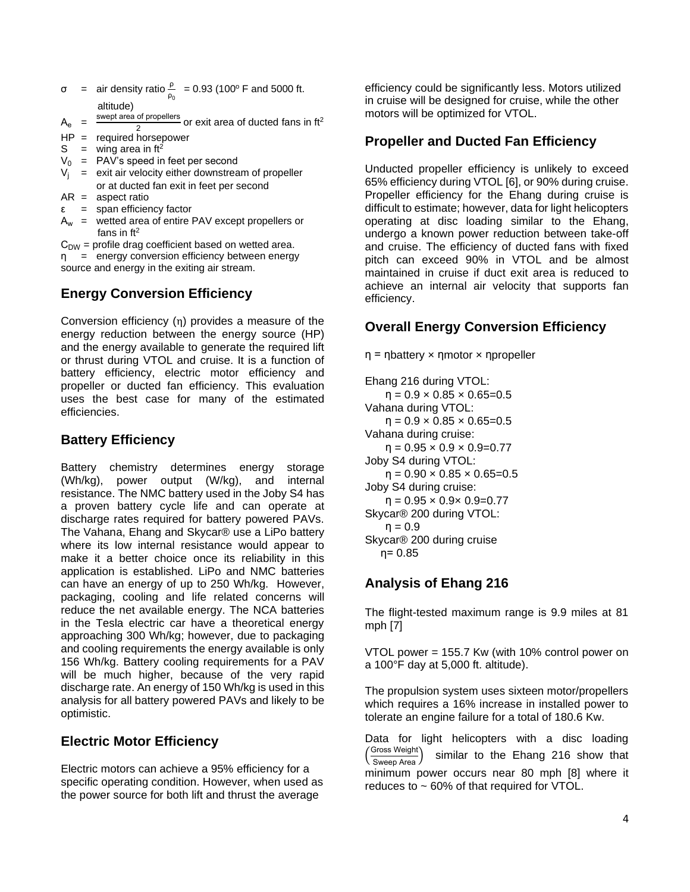$\sigma$  = air density ratio  $\frac{\rho}{\rho_0}$  = 0.93 (100° F and 5000 ft. altitude)

 $A_e =$ swept area of propellers  $\frac{3}{2}$  or exit area of ducted fans in ft<sup>2</sup>

HP = required horsepower

 $S =$  wing area in ft<sup>2</sup>

- $V_0$  = PAV's speed in feet per second
- $V_i$  = exit air velocity either downstream of propeller
- or at ducted fan exit in feet per second
- $AR =$ aspect ratio
- $\epsilon$  = span efficiency factor
- $A_w$  = wetted area of entire PAV except propellers or fans in  $ft^2$

 $C<sub>DW</sub>$  = profile drag coefficient based on wetted area. η = energy conversion efficiency between energy source and energy in the exiting air stream.

# **Energy Conversion Efficiency**

Conversion efficiency (η) provides a measure of the energy reduction between the energy source (HP) and the energy available to generate the required lift or thrust during VTOL and cruise. It is a function of battery efficiency, electric motor efficiency and propeller or ducted fan efficiency. This evaluation uses the best case for many of the estimated efficiencies.

# **Battery Efficiency**

Battery chemistry determines energy storage (Wh/kg), power output (W/kg), and internal resistance. The NMC battery used in the Joby S4 has a proven battery cycle life and can operate at discharge rates required for battery powered PAVs. The Vahana, Ehang and Skycar® use a LiPo battery where its low internal resistance would appear to make it a better choice once its reliability in this application is established. LiPo and NMC batteries can have an energy of up to 250 Wh/kg. However, packaging, cooling and life related concerns will reduce the net available energy. The NCA batteries in the Tesla electric car have a theoretical energy approaching 300 Wh/kg; however, due to packaging and cooling requirements the energy available is only 156 Wh/kg. Battery cooling requirements for a PAV will be much higher, because of the very rapid discharge rate. An energy of 150 Wh/kg is used in this analysis for all battery powered PAVs and likely to be optimistic.

# **Electric Motor Efficiency**

Electric motors can achieve a 95% efficiency for a specific operating condition. However, when used as the power source for both lift and thrust the average

efficiency could be significantly less. Motors utilized in cruise will be designed for cruise, while the other motors will be optimized for VTOL.

## **Propeller and Ducted Fan Efficiency**

Unducted propeller efficiency is unlikely to exceed 65% efficiency during VTOL [6], or 90% during cruise. Propeller efficiency for the Ehang during cruise is difficult to estimate; however, data for light helicopters operating at disc loading similar to the Ehang, undergo a known power reduction between take-off and cruise. The efficiency of ducted fans with fixed pitch can exceed 90% in VTOL and be almost maintained in cruise if duct exit area is reduced to achieve an internal air velocity that supports fan efficiency.

# **Overall Energy Conversion Efficiency**

η = ηbattery × ηmotor × ηpropeller

Ehang 216 during VTOL:  $\eta = 0.9 \times 0.85 \times 0.65 = 0.5$ Vahana during VTOL:  $\eta = 0.9 \times 0.85 \times 0.65 = 0.5$ Vahana during cruise:  $\eta = 0.95 \times 0.9 \times 0.9 = 0.77$ Joby S4 during VTOL:  $\eta = 0.90 \times 0.85 \times 0.65 = 0.5$ Joby S4 during cruise:  $\eta = 0.95 \times 0.9 \times 0.9 = 0.77$ Skycar® 200 during VTOL:  $η = 0.9$ Skycar® 200 during cruise η= 0.85

# **Analysis of Ehang 216**

The flight-tested maximum range is 9.9 miles at 81 mph [7]

VTOL power = 155.7 Kw (with 10% control power on a 100°F day at 5,000 ft. altitude).

The propulsion system uses sixteen motor/propellers which requires a 16% increase in installed power to tolerate an engine failure for a total of 180.6 Kw.

Data for light helicopters with a disc loading Gross Weight  $\frac{\text{Sross weight}}{\text{Sweep Area}}$  similar to the Ehang 216 show that minimum power occurs near 80 mph [8] where it reduces to ~ 60% of that required for VTOL.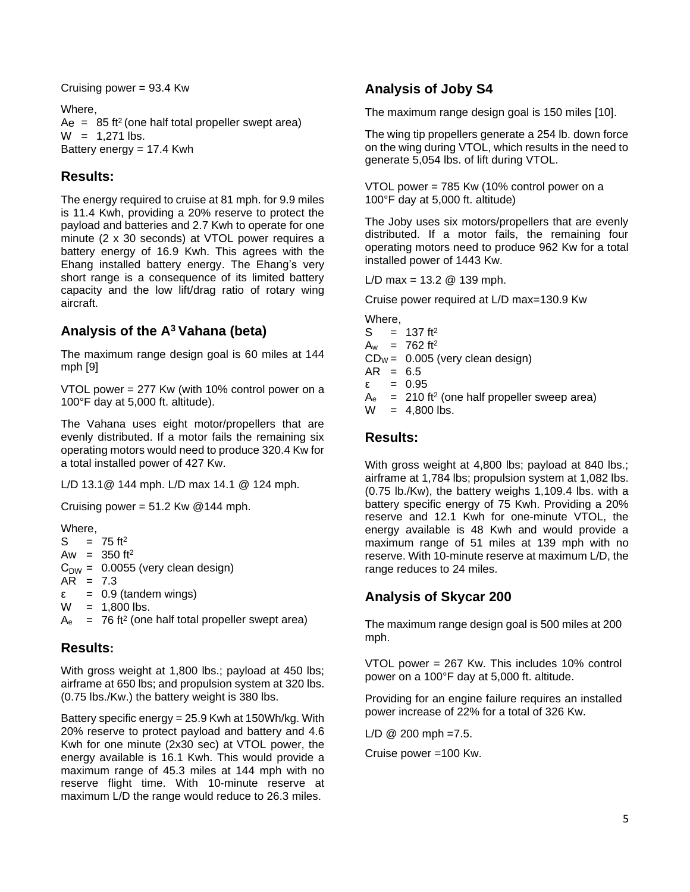Cruising power = 93.4 Kw

Where,  $Ae = 85$  ft<sup>2</sup> (one half total propeller swept area)  $W = 1,271$  lbs. Battery energy = 17.4 Kwh

# **Results:**

The energy required to cruise at 81 mph. for 9.9 miles is 11.4 Kwh, providing a 20% reserve to protect the payload and batteries and 2.7 Kwh to operate for one minute (2 x 30 seconds) at VTOL power requires a battery energy of 16.9 Kwh. This agrees with the Ehang installed battery energy. The Ehang's very short range is a consequence of its limited battery capacity and the low lift/drag ratio of rotary wing aircraft.

# **Analysis of the A<sup>3</sup> Vahana (beta)**

The maximum range design goal is 60 miles at 144 mph [9]

VTOL power = 277 Kw (with 10% control power on a 100°F day at 5,000 ft. altitude).

The Vahana uses eight motor/propellers that are evenly distributed. If a motor fails the remaining six operating motors would need to produce 320.4 Kw for a total installed power of 427 Kw.

L/D 13.1@ 144 mph. L/D max 14.1 @ 124 mph.

Cruising power =  $51.2$  Kw @144 mph.

Where,

 $S = 75$  ft<sup>2</sup> Aw =  $350$  ft<sup>2</sup>  $C<sub>DW</sub> = 0.0055$  (very clean design)  $AR = 7.3$ ε = 0.9 (tandem wings)  $W = 1,800$  lbs.  $A<sub>e</sub>$  = 76 ft<sup>2</sup> (one half total propeller swept area)

# **Results:**

With gross weight at 1,800 lbs.; payload at 450 lbs; airframe at 650 lbs; and propulsion system at 320 lbs. (0.75 lbs./Kw.) the battery weight is 380 lbs.

Battery specific energy = 25.9 Kwh at 150Wh/kg. With 20% reserve to protect payload and battery and 4.6 Kwh for one minute (2x30 sec) at VTOL power, the energy available is 16.1 Kwh. This would provide a maximum range of 45.3 miles at 144 mph with no reserve flight time. With 10-minute reserve at maximum L/D the range would reduce to 26.3 miles.

# **Analysis of Joby S4**

The maximum range design goal is 150 miles [10].

The wing tip propellers generate a 254 lb. down force on the wing during VTOL, which results in the need to generate 5,054 lbs. of lift during VTOL.

VTOL power = 785 Kw (10% control power on a 100°F day at 5,000 ft. altitude)

The Joby uses six motors/propellers that are evenly distributed. If a motor fails, the remaining four operating motors need to produce 962 Kw for a total installed power of 1443 Kw.

 $L/D$  max = 13.2  $@$  139 mph.

Cruise power required at L/D max=130.9 Kw

Where,

- $S = 137 ft<sup>2</sup>$
- $A_w = 762 \text{ ft}^2$
- $CD_W = 0.005$  (very clean design)
- $AR = 6.5$
- ε = 0.95
- $A<sub>e</sub>$  = 210 ft<sup>2</sup> (one half propeller sweep area)

 $W = 4,800$  lbs.

# **Results:**

With gross weight at 4,800 lbs; payload at 840 lbs.; airframe at 1,784 lbs; propulsion system at 1,082 lbs. (0.75 lb./Kw), the battery weighs 1,109.4 lbs. with a battery specific energy of 75 Kwh. Providing a 20% reserve and 12.1 Kwh for one-minute VTOL, the energy available is 48 Kwh and would provide a maximum range of 51 miles at 139 mph with no reserve. With 10-minute reserve at maximum L/D, the range reduces to 24 miles.

# **Analysis of Skycar 200**

The maximum range design goal is 500 miles at 200 mph.

VTOL power = 267 Kw. This includes 10% control power on a 100°F day at 5,000 ft. altitude.

Providing for an engine failure requires an installed power increase of 22% for a total of 326 Kw.

 $L/D \tQ$  200 mph = 7.5.

Cruise power =100 Kw.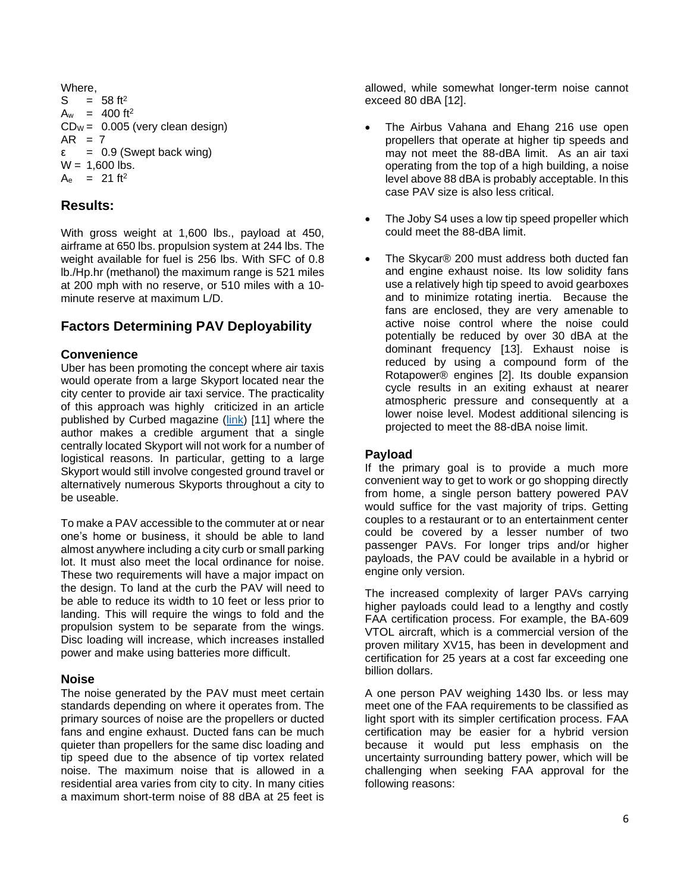Where,  $S = 58$  ft<sup>2</sup>  $A_w$  = 400 ft<sup>2</sup>  $CD_W = 0.005$  (very clean design)  $AR = 7$ ε = 0.9 (Swept back wing)  $W = 1,600$  lbs.  $A_e$  = 21 ft<sup>2</sup>

### **Results:**

With gross weight at 1,600 lbs., payload at 450, airframe at 650 lbs. propulsion system at 244 lbs. The weight available for fuel is 256 lbs. With SFC of 0.8 lb./Hp.hr (methanol) the maximum range is 521 miles at 200 mph with no reserve, or 510 miles with a 10 minute reserve at maximum L/D.

# **Factors Determining PAV Deployability**

### **Convenience**

Uber has been promoting the concept where air taxis would operate from a large Skyport located near the city center to provide air taxi service. The practicality of this approach was highly criticized in an article published by Curbed magazine [\(link\)](https://www.curbed.com/word-on-the-street/2018/5/17/17362908/uber-elevate-skyport-flying-car) [11] where the author makes a credible argument that a single centrally located Skyport will not work for a number of logistical reasons. In particular, getting to a large Skyport would still involve congested ground travel or alternatively numerous Skyports throughout a city to be useable.

To make a PAV accessible to the commuter at or near one's home or business, it should be able to land almost anywhere including a city curb or small parking lot. It must also meet the local ordinance for noise. These two requirements will have a major impact on the design. To land at the curb the PAV will need to be able to reduce its width to 10 feet or less prior to landing. This will require the wings to fold and the propulsion system to be separate from the wings. Disc loading will increase, which increases installed power and make using batteries more difficult.

### **Noise**

The noise generated by the PAV must meet certain standards depending on where it operates from. The primary sources of noise are the propellers or ducted fans and engine exhaust. Ducted fans can be much quieter than propellers for the same disc loading and tip speed due to the absence of tip vortex related noise. The maximum noise that is allowed in a residential area varies from city to city. In many cities a maximum short-term noise of 88 dBA at 25 feet is allowed, while somewhat longer-term noise cannot exceed 80 dBA [12].

- The Airbus Vahana and Ehang 216 use open propellers that operate at higher tip speeds and may not meet the 88-dBA limit. As an air taxi operating from the top of a high building, a noise level above 88 dBA is probably acceptable. In this case PAV size is also less critical.
- The Joby S4 uses a low tip speed propeller which could meet the 88-dBA limit.
- The Skycar® 200 must address both ducted fan and engine exhaust noise. Its low solidity fans use a relatively high tip speed to avoid gearboxes and to minimize rotating inertia. Because the fans are enclosed, they are very amenable to active noise control where the noise could potentially be reduced by over 30 dBA at the dominant frequency [13]. Exhaust noise is reduced by using a compound form of the Rotapower® engines [2]. Its double expansion cycle results in an exiting exhaust at nearer atmospheric pressure and consequently at a lower noise level. Modest additional silencing is projected to meet the 88-dBA noise limit.

### **Payload**

If the primary goal is to provide a much more convenient way to get to work or go shopping directly from home, a single person battery powered PAV would suffice for the vast majority of trips. Getting couples to a restaurant or to an entertainment center could be covered by a lesser number of two passenger PAVs. For longer trips and/or higher payloads, the PAV could be available in a hybrid or engine only version.

The increased complexity of larger PAVs carrying higher payloads could lead to a lengthy and costly FAA certification process. For example, the BA-609 VTOL aircraft, which is a commercial version of the proven military XV15, has been in development and certification for 25 years at a cost far exceeding one billion dollars.

A one person PAV weighing 1430 lbs. or less may meet one of the FAA requirements to be classified as light sport with its simpler certification process. FAA certification may be easier for a hybrid version because it would put less emphasis on the uncertainty surrounding battery power, which will be challenging when seeking FAA approval for the following reasons: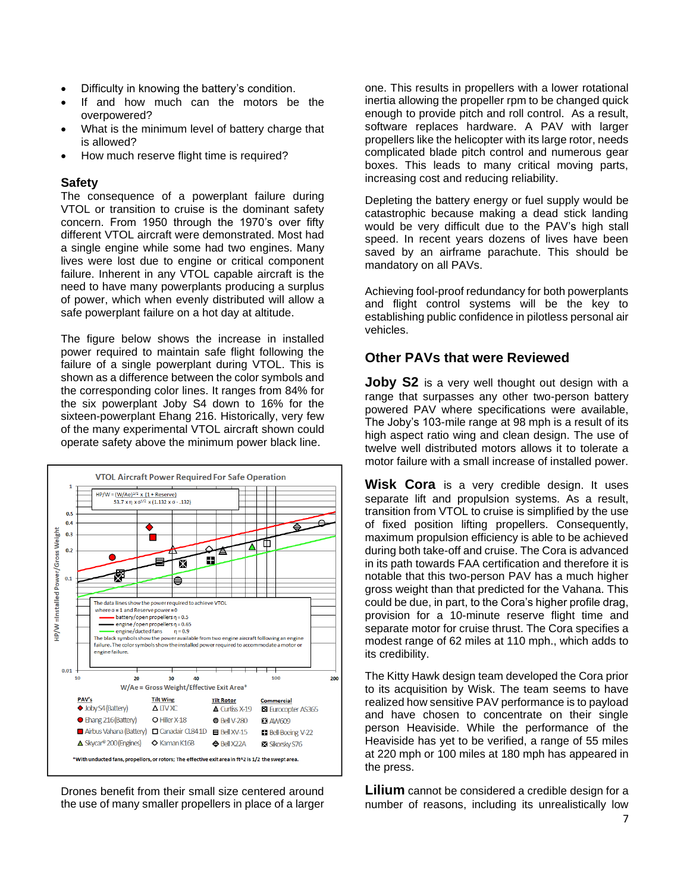- Difficulty in knowing the battery's condition.
- If and how much can the motors be the overpowered?
- What is the minimum level of battery charge that is allowed?
- How much reserve flight time is required?

#### **Safety**

The consequence of a powerplant failure during VTOL or transition to cruise is the dominant safety concern. From 1950 through the 1970's over fifty different VTOL aircraft were demonstrated. Most had a single engine while some had two engines. Many lives were lost due to engine or critical component failure. Inherent in any VTOL capable aircraft is the need to have many powerplants producing a surplus of power, which when evenly distributed will allow a safe powerplant failure on a hot day at altitude.

The figure below shows the increase in installed power required to maintain safe flight following the failure of a single powerplant during VTOL. This is shown as a difference between the color symbols and the corresponding color lines. It ranges from 84% for the six powerplant Joby S4 down to 16% for the sixteen-powerplant Ehang 216. Historically, very few of the many experimental VTOL aircraft shown could operate safety above the minimum power black line.



Drones benefit from their small size centered around the use of many smaller propellers in place of a larger one. This results in propellers with a lower rotational inertia allowing the propeller rpm to be changed quick enough to provide pitch and roll control. As a result, software replaces hardware. A PAV with larger propellers like the helicopter with its large rotor, needs complicated blade pitch control and numerous gear boxes. This leads to many critical moving parts, increasing cost and reducing reliability.

Depleting the battery energy or fuel supply would be catastrophic because making a dead stick landing would be very difficult due to the PAV's high stall speed. In recent years dozens of lives have been saved by an airframe parachute. This should be mandatory on all PAVs.

Achieving fool-proof redundancy for both powerplants and flight control systems will be the key to establishing public confidence in pilotless personal air vehicles.

### **Other PAVs that were Reviewed**

**Joby S2** is a very well thought out design with a range that surpasses any other two-person battery powered PAV where specifications were available, The Joby's 103-mile range at 98 mph is a result of its high aspect ratio wing and clean design. The use of twelve well distributed motors allows it to tolerate a motor failure with a small increase of installed power.

**Wisk Cora** is a very credible design. It uses separate lift and propulsion systems. As a result, transition from VTOL to cruise is simplified by the use of fixed position lifting propellers. Consequently, maximum propulsion efficiency is able to be achieved during both take-off and cruise. The Cora is advanced in its path towards FAA certification and therefore it is notable that this two-person PAV has a much higher gross weight than that predicted for the Vahana. This could be due, in part, to the Cora's higher profile drag, provision for a 10-minute reserve flight time and separate motor for cruise thrust. The Cora specifies a modest range of 62 miles at 110 mph., which adds to its credibility.

The Kitty Hawk design team developed the Cora prior to its acquisition by Wisk. The team seems to have realized how sensitive PAV performance is to payload and have chosen to concentrate on their single person Heaviside. While the performance of the Heaviside has yet to be verified, a range of 55 miles at 220 mph or 100 miles at 180 mph has appeared in the press.

**Lilium** cannot be considered a credible design for a number of reasons, including its unrealistically low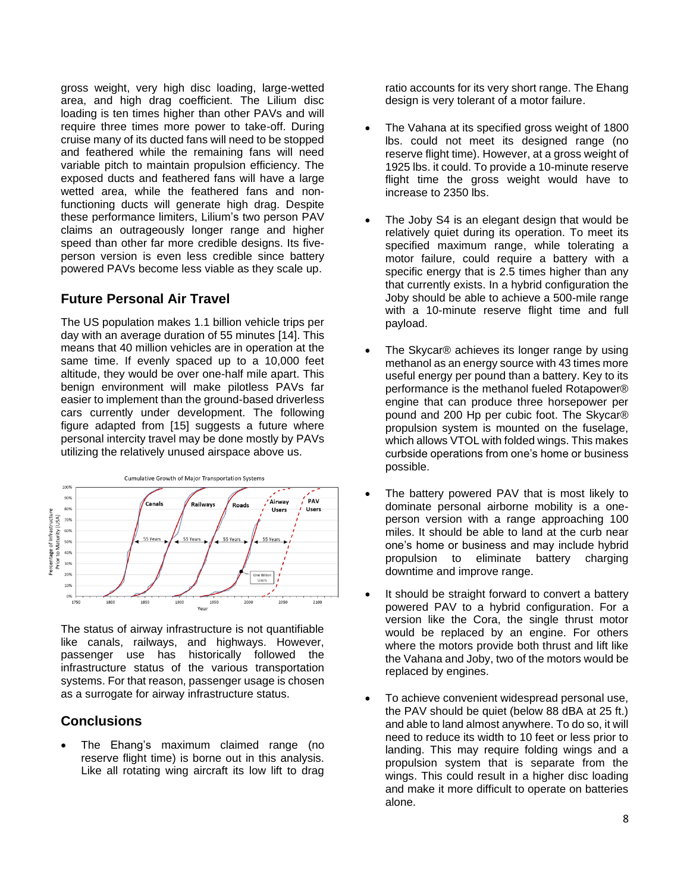gross weight, very high disc loading, large-wetted area, and high drag coefficient. The Lilium disc loading is ten times higher than other PAVs and will require three times more power to take-off. During cruise many of its ducted fans will need to be stopped and feathered while the remaining fans will need variable pitch to maintain propulsion efficiency. The exposed ducts and feathered fans will have a large wetted area, while the feathered fans and nonfunctioning ducts will generate high drag. Despite these performance limiters, Lilium's two person PAV claims an outrageously longer range and higher speed than other far more credible designs. Its fiveperson version is even less credible since battery powered PAVs become less viable as they scale up.

### **Future Personal Air Travel**

The US population makes 1.1 billion vehicle trips per day with an average duration of 55 minutes [14]. This means that 40 million vehicles are in operation at the same time. If evenly spaced up to a 10,000 feet altitude, they would be over one-half mile apart. This benign environment will make pilotless PAVs far easier to implement than the ground-based driverless cars currently under development. The following figure adapted from [15] suggests a future where personal intercity travel may be done mostly by PAVs utilizing the relatively unused airspace above us.



The status of airway infrastructure is not quantifiable like canals, railways, and highways. However, passenger use has historically followed the infrastructure status of the various transportation systems. For that reason, passenger usage is chosen as a surrogate for airway infrastructure status.

### **Conclusions**

• The Ehang's maximum claimed range (no reserve flight time) is borne out in this analysis. Like all rotating wing aircraft its low lift to drag

ratio accounts for its very short range. The Ehang design is very tolerant of a motor failure.

- The Vahana at its specified gross weight of 1800 lbs. could not meet its designed range (no reserve flight time). However, at a gross weight of 1925 lbs. it could. To provide a 10-minute reserve flight time the gross weight would have to increase to 2350 lbs.
- The Joby S4 is an elegant design that would be relatively quiet during its operation. To meet its specified maximum range, while tolerating a motor failure, could require a battery with a specific energy that is 2.5 times higher than any that currently exists. In a hybrid configuration the Joby should be able to achieve a 500-mile range with a 10-minute reserve flight time and full payload.
- The Skycar® achieves its longer range by using methanol as an energy source with 43 times more useful energy per pound than a battery. Key to its performance is the methanol fueled Rotapower® engine that can produce three horsepower per pound and 200 Hp per cubic foot. The Skycar® propulsion system is mounted on the fuselage, which allows VTOL with folded wings. This makes curbside operations from one's home or business possible.
- The battery powered PAV that is most likely to dominate personal airborne mobility is a oneperson version with a range approaching 100 miles. It should be able to land at the curb near one's home or business and may include hybrid propulsion to eliminate battery charging downtime and improve range.
- It should be straight forward to convert a battery powered PAV to a hybrid configuration. For a version like the Cora, the single thrust motor would be replaced by an engine. For others where the motors provide both thrust and lift like the Vahana and Joby, two of the motors would be replaced by engines.
- To achieve convenient widespread personal use, the PAV should be quiet (below 88 dBA at 25 ft.) and able to land almost anywhere. To do so, it will need to reduce its width to 10 feet or less prior to landing. This may require folding wings and a propulsion system that is separate from the wings. This could result in a higher disc loading and make it more difficult to operate on batteries alone.